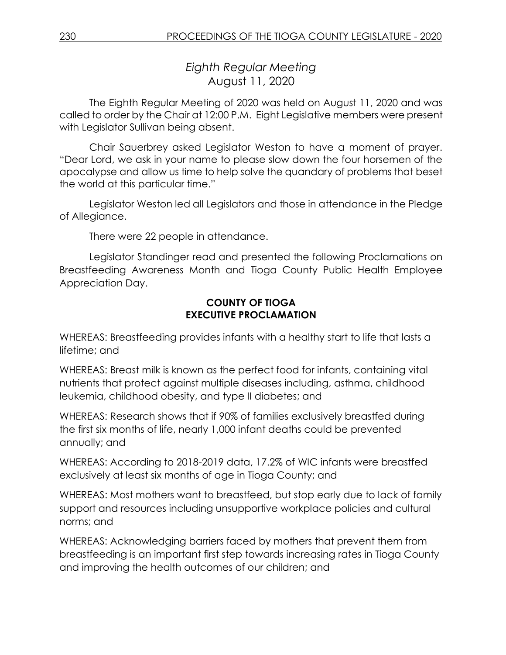*Eighth Regular Meeting* August 11, 2020

The Eighth Regular Meeting of 2020 was held on August 11, 2020 and was called to order by the Chair at 12:00 P.M. Eight Legislative members were present with Legislator Sullivan being absent.

Chair Sauerbrey asked Legislator Weston to have a moment of prayer. "Dear Lord, we ask in your name to please slow down the four horsemen of the apocalypse and allow us time to help solve the quandary of problems that beset the world at this particular time."

Legislator Weston led all Legislators and those in attendance in the Pledge of Allegiance.

There were 22 people in attendance.

Legislator Standinger read and presented the following Proclamations on Breastfeeding Awareness Month and Tioga County Public Health Employee Appreciation Day.

# **COUNTY OF TIOGA EXECUTIVE PROCLAMATION**

WHEREAS: Breastfeeding provides infants with a healthy start to life that lasts a lifetime; and

WHEREAS: Breast milk is known as the perfect food for infants, containing vital nutrients that protect against multiple diseases including, asthma, childhood leukemia, childhood obesity, and type II diabetes; and

WHEREAS: Research shows that if 90% of families exclusively breastfed during the first six months of life, nearly 1,000 infant deaths could be prevented annually; and

WHEREAS: According to 2018-2019 data, 17.2% of WIC infants were breastfed exclusively at least six months of age in Tioga County; and

WHEREAS: Most mothers want to breastfeed, but stop early due to lack of family support and resources including unsupportive workplace policies and cultural norms; and

WHEREAS: Acknowledging barriers faced by mothers that prevent them from breastfeeding is an important first step towards increasing rates in Tioga County and improving the health outcomes of our children; and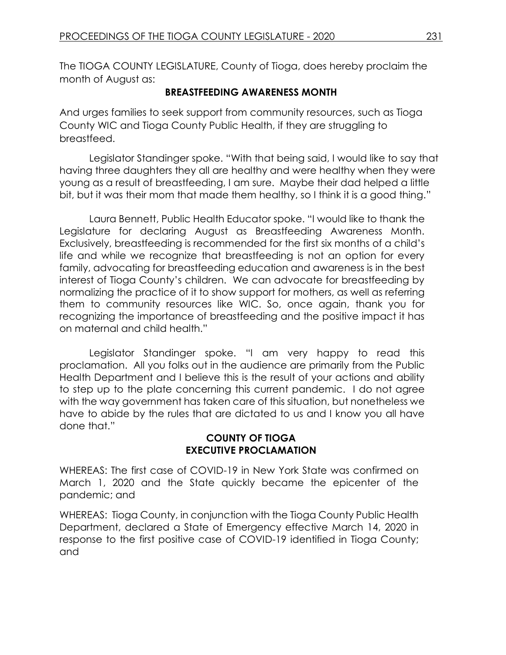The TIOGA COUNTY LEGISLATURE, County of Tioga, does hereby proclaim the month of August as:

### **BREASTFEEDING AWARENESS MONTH**

And urges families to seek support from community resources, such as Tioga County WIC and Tioga County Public Health, if they are struggling to breastfeed.

Legislator Standinger spoke. "With that being said, I would like to say that having three daughters they all are healthy and were healthy when they were young as a result of breastfeeding, I am sure. Maybe their dad helped a little bit, but it was their mom that made them healthy, so I think it is a good thing."

Laura Bennett, Public Health Educator spoke. "I would like to thank the Legislature for declaring August as Breastfeeding Awareness Month. Exclusively, breastfeeding is recommended for the first six months of a child's life and while we recognize that breastfeeding is not an option for every family, advocating for breastfeeding education and awareness is in the best interest of Tioga County's children. We can advocate for breastfeeding by normalizing the practice of it to show support for mothers, as well as referring them to community resources like WIC. So, once again, thank you for recognizing the importance of breastfeeding and the positive impact it has on maternal and child health."

Legislator Standinger spoke. "I am very happy to read this proclamation. All you folks out in the audience are primarily from the Public Health Department and I believe this is the result of your actions and ability to step up to the plate concerning this current pandemic. I do not agree with the way government has taken care of this situation, but nonetheless we have to abide by the rules that are dictated to us and I know you all have done that."

### **COUNTY OF TIOGA EXECUTIVE PROCLAMATION**

WHEREAS: The first case of COVID-19 in New York State was confirmed on March 1, 2020 and the State quickly became the epicenter of the pandemic; and

WHEREAS: Tioga County, in conjunction with the Tioga County Public Health Department, declared a State of Emergency effective March 14, 2020 in response to the first positive case of COVID-19 identified in Tioga County; and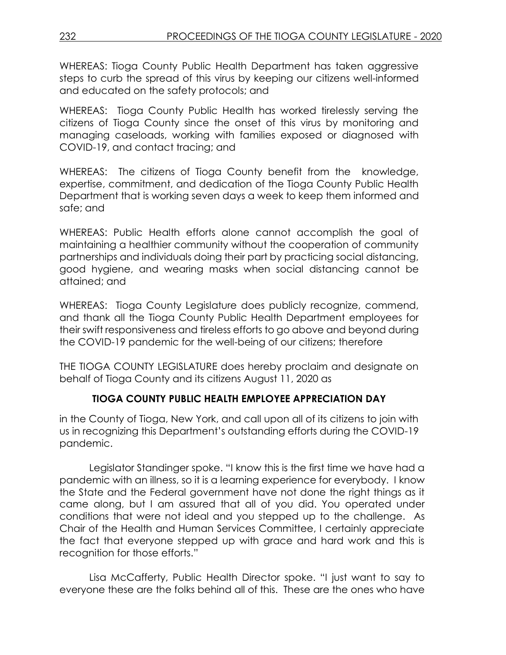WHEREAS: Tioga County Public Health Department has taken aggressive steps to curb the spread of this virus by keeping our citizens well-informed and educated on the safety protocols; and

WHEREAS: Tioga County Public Health has worked tirelessly serving the citizens of Tioga County since the onset of this virus by monitoring and managing caseloads, working with families exposed or diagnosed with COVID-19, and contact tracing; and

WHEREAS: The citizens of Tioga County benefit from the knowledge, expertise, commitment, and dedication of the Tioga County Public Health Department that is working seven days a week to keep them informed and safe; and

WHEREAS: Public Health efforts alone cannot accomplish the goal of maintaining a healthier community without the cooperation of community partnerships and individuals doing their part by practicing social distancing, good hygiene, and wearing masks when social distancing cannot be attained; and

WHEREAS: Tioga County Legislature does publicly recognize, commend, and thank all the Tioga County Public Health Department employees for their swift responsiveness and tireless efforts to go above and beyond during the COVID-19 pandemic for the well-being of our citizens; therefore

THE TIOGA COUNTY LEGISLATURE does hereby proclaim and designate on behalf of Tioga County and its citizens August 11, 2020 as

# **TIOGA COUNTY PUBLIC HEALTH EMPLOYEE APPRECIATION DAY**

in the County of Tioga, New York, and call upon all of its citizens to join with us in recognizing this Department's outstanding efforts during the COVID-19 pandemic.

Legislator Standinger spoke. "I know this is the first time we have had a pandemic with an illness, so it is a learning experience for everybody. I know the State and the Federal government have not done the right things as it came along, but I am assured that all of you did. You operated under conditions that were not ideal and you stepped up to the challenge. As Chair of the Health and Human Services Committee, I certainly appreciate the fact that everyone stepped up with grace and hard work and this is recognition for those efforts."

Lisa McCafferty, Public Health Director spoke. "I just want to say to everyone these are the folks behind all of this. These are the ones who have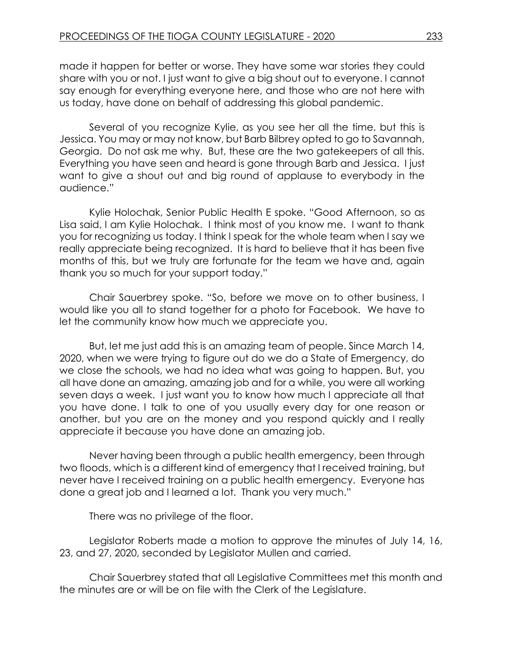made it happen for better or worse. They have some war stories they could share with you or not. I just want to give a big shout out to everyone. I cannot say enough for everything everyone here, and those who are not here with us today, have done on behalf of addressing this global pandemic.

Several of you recognize Kylie, as you see her all the time, but this is Jessica. You may or may not know, but Barb Bilbrey opted to go to Savannah, Georgia. Do not ask me why. But, these are the two gatekeepers of all this. Everything you have seen and heard is gone through Barb and Jessica. I just want to give a shout out and big round of applause to everybody in the audience."

Kylie Holochak, Senior Public Health E spoke. "Good Afternoon, so as Lisa said, I am Kylie Holochak. I think most of you know me. I want to thank you for recognizing us today. I think I speak for the whole team when I say we really appreciate being recognized. It is hard to believe that it has been five months of this, but we truly are fortunate for the team we have and, again thank you so much for your support today."

Chair Sauerbrey spoke. "So, before we move on to other business, I would like you all to stand together for a photo for Facebook. We have to let the community know how much we appreciate you.

But, let me just add this is an amazing team of people. Since March 14, 2020, when we were trying to figure out do we do a State of Emergency, do we close the schools, we had no idea what was going to happen. But, you all have done an amazing, amazing job and for a while, you were all working seven days a week. I just want you to know how much I appreciate all that you have done. I talk to one of you usually every day for one reason or another, but you are on the money and you respond quickly and I really appreciate it because you have done an amazing job.

Never having been through a public health emergency, been through two floods, which is a different kind of emergency that I received training, but never have I received training on a public health emergency. Everyone has done a great job and I learned a lot. Thank you very much."

There was no privilege of the floor.

Legislator Roberts made a motion to approve the minutes of July 14, 16, 23, and 27, 2020, seconded by Legislator Mullen and carried.

Chair Sauerbrey stated that all Legislative Committees met this month and the minutes are or will be on file with the Clerk of the Legislature.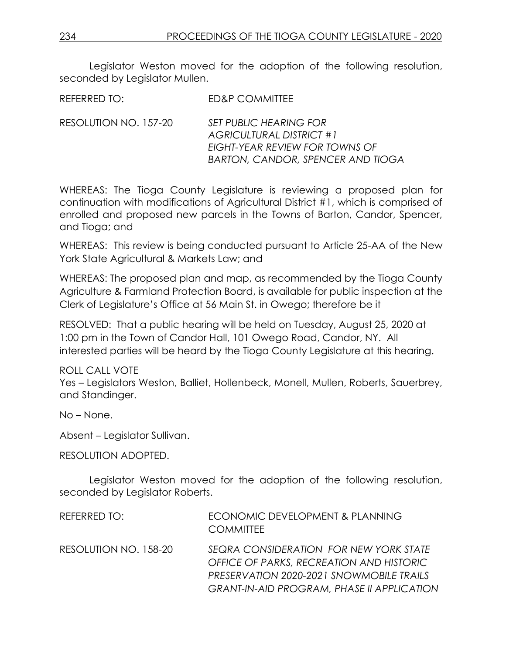Legislator Weston moved for the adoption of the following resolution, seconded by Legislator Mullen.

REFERRED TO: ED&P COMMITTEE

RESOLUTION NO. 157-20 *SET PUBLIC HEARING FOR AGRICULTURAL DISTRICT #1 EIGHT-YEAR REVIEW FOR TOWNS OF BARTON, CANDOR, SPENCER AND TIOGA* 

WHEREAS: The Tioga County Legislature is reviewing a proposed plan for continuation with modifications of Agricultural District #1, which is comprised of enrolled and proposed new parcels in the Towns of Barton, Candor, Spencer, and Tioga; and

WHEREAS: This review is being conducted pursuant to Article 25-AA of the New York State Agricultural & Markets Law; and

WHEREAS: The proposed plan and map, as recommended by the Tioga County Agriculture & Farmland Protection Board, is available for public inspection at the Clerk of Legislature's Office at 56 Main St. in Owego; therefore be it

RESOLVED: That a public hearing will be held on Tuesday, August 25, 2020 at 1:00 pm in the Town of Candor Hall, 101 Owego Road, Candor, NY. All interested parties will be heard by the Tioga County Legislature at this hearing.

ROLL CALL VOTE Yes – Legislators Weston, Balliet, Hollenbeck, Monell, Mullen, Roberts, Sauerbrey, and Standinger.

No – None.

Absent – Legislator Sullivan.

RESOLUTION ADOPTED.

Legislator Weston moved for the adoption of the following resolution, seconded by Legislator Roberts.

| REFERRED TO:          | ECONOMIC DEVELOPMENT & PLANNING<br><b>COMMITTEE</b>                                                                                                                                 |
|-----------------------|-------------------------------------------------------------------------------------------------------------------------------------------------------------------------------------|
| RESOLUTION NO. 158-20 | SEQRA CONSIDERATION FOR NEW YORK STATE<br>OFFICE OF PARKS, RECREATION AND HISTORIC<br>PRESERVATION 2020-2021 SNOWMOBILE TRAILS<br><b>GRANT-IN-AID PROGRAM, PHASE II APPLICATION</b> |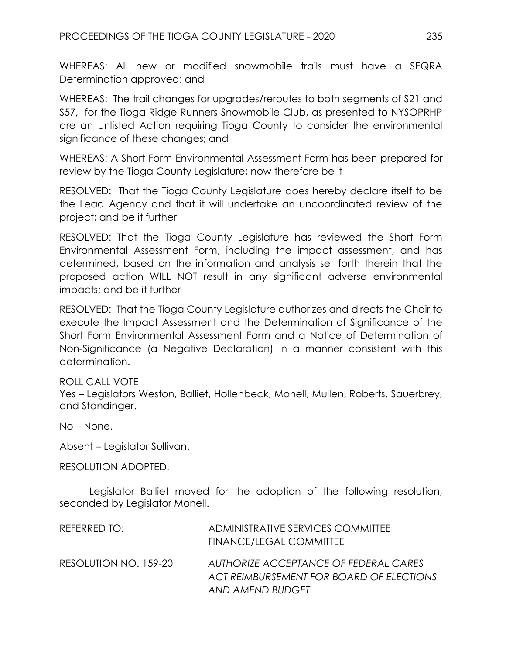WHEREAS: All new or modified snowmobile trails must have a SEQRA Determination approved; and

WHEREAS: The trail changes for upgrades/reroutes to both segments of S21 and S57, for the Tioga Ridge Runners Snowmobile Club, as presented to NYSOPRHP are an Unlisted Action requiring Tioga County to consider the environmental significance of these changes; and

WHEREAS: A Short Form Environmental Assessment Form has been prepared for review by the Tioga County Legislature; now therefore be it

RESOLVED: That the Tioga County Legislature does hereby declare itself to be the Lead Agency and that it will undertake an uncoordinated review of the project; and be it further

RESOLVED: That the Tioga County Legislature has reviewed the Short Form Environmental Assessment Form, including the impact assessment, and has determined, based on the information and analysis set forth therein that the proposed action WILL NOT result in any significant adverse environmental impacts; and be it further

RESOLVED: That the Tioga County Legislature authorizes and directs the Chair to execute the Impact Assessment and the Determination of Significance of the Short Form Environmental Assessment Form and a Notice of Determination of Non-Significance (a Negative Declaration) in a manner consistent with this determination.

### ROLL CALL VOTE

Yes – Legislators Weston, Balliet, Hollenbeck, Monell, Mullen, Roberts, Sauerbrey, and Standinger.

No – None.

Absent – Legislator Sullivan.

RESOLUTION ADOPTED.

Legislator Balliet moved for the adoption of the following resolution, seconded by Legislator Monell.

| REFERRED TO:          | ADMINISTRATIVE SERVICES COMMITTEE<br><b>FINANCE/LEGAL COMMITTEE</b>                                   |
|-----------------------|-------------------------------------------------------------------------------------------------------|
| RESOLUTION NO. 159-20 | AUTHORIZE ACCEPTANCE OF FEDERAL CARES<br>ACT REIMBURSEMENT FOR BOARD OF ELECTIONS<br>AND AMEND BUDGET |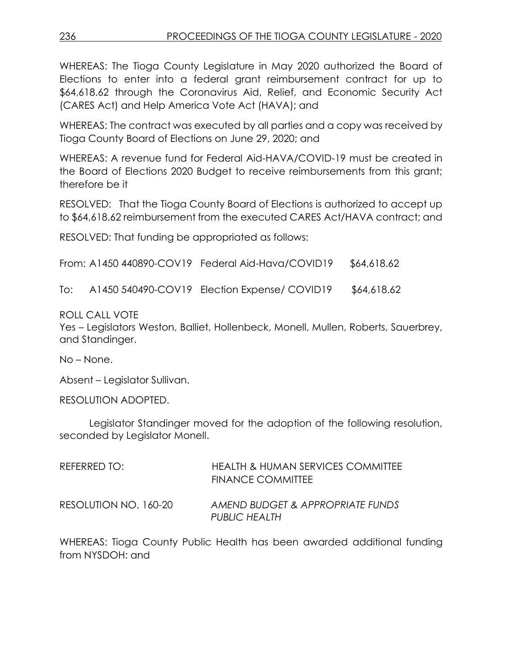WHEREAS: The Tioga County Legislature in May 2020 authorized the Board of Elections to enter into a federal grant reimbursement contract for up to \$64,618.62 through the Coronavirus Aid, Relief, and Economic Security Act (CARES Act) and Help America Vote Act (HAVA); and

WHEREAS: The contract was executed by all parties and a copy was received by Tioga County Board of Elections on June 29, 2020; and

WHEREAS: A revenue fund for Federal Aid-HAVA/COVID-19 must be created in the Board of Elections 2020 Budget to receive reimbursements from this grant; therefore be it

RESOLVED: That the Tioga County Board of Elections is authorized to accept up to \$64,618.62 reimbursement from the executed CARES Act/HAVA contract; and

RESOLVED: That funding be appropriated as follows:

From: A1450 440890-COV19 Federal Aid-Hava/COVID19 \$64,618.62

To: A1450 540490-COV19 Election Expense/ COVID19 \$64,618.62

ROLL CALL VOTE

Yes – Legislators Weston, Balliet, Hollenbeck, Monell, Mullen, Roberts, Sauerbrey, and Standinger.

No – None.

Absent – Legislator Sullivan.

RESOLUTION ADOPTED.

Legislator Standinger moved for the adoption of the following resolution, seconded by Legislator Monell.

| REFERRED TO:          | <b>HEALTH &amp; HUMAN SERVICES COMMITTEE</b><br>FINANCE COMMITTEE |
|-----------------------|-------------------------------------------------------------------|
| RESOLUTION NO. 160-20 | AMEND BUDGET & APPROPRIATE FUNDS<br><b>PUBLIC HEALTH</b>          |

WHEREAS: Tioga County Public Health has been awarded additional funding from NYSDOH: and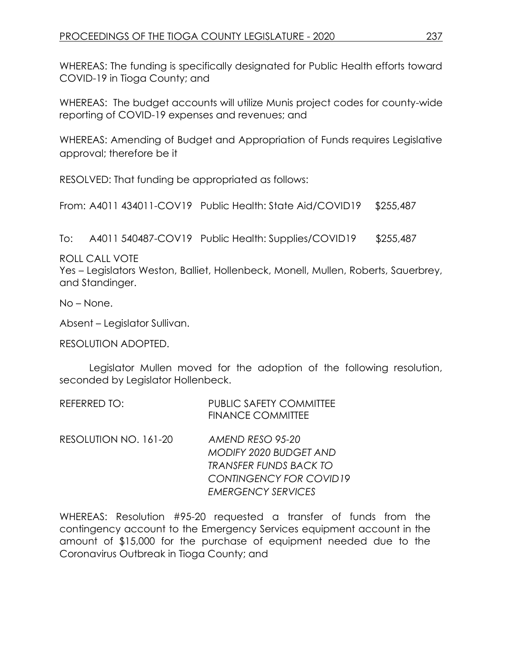WHEREAS: The funding is specifically designated for Public Health efforts toward COVID-19 in Tioga County; and

WHEREAS: The budget accounts will utilize Munis project codes for county-wide reporting of COVID-19 expenses and revenues; and

WHEREAS: Amending of Budget and Appropriation of Funds requires Legislative approval; therefore be it

RESOLVED: That funding be appropriated as follows:

From: A4011 434011-COV19 Public Health: State Aid/COVID19 \$255,487

To: A4011 540487-COV19 Public Health: Supplies/COVID19 \$255,487

ROLL CALL VOTE

Yes – Legislators Weston, Balliet, Hollenbeck, Monell, Mullen, Roberts, Sauerbrey, and Standinger.

No – None.

Absent – Legislator Sullivan.

RESOLUTION ADOPTED.

Legislator Mullen moved for the adoption of the following resolution, seconded by Legislator Hollenbeck.

| REFERRED TO: | <b>PUBLIC SAFETY COMMITTEE</b> |
|--------------|--------------------------------|
|              | <b>FINANCE COMMITTEE</b>       |

RESOLUTION NO. 161-20 *AMEND RESO 95-20 MODIFY 2020 BUDGET AND TRANSFER FUNDS BACK TO CONTINGENCY FOR COVID19 EMERGENCY SERVICES*

WHEREAS: Resolution #95-20 requested a transfer of funds from the contingency account to the Emergency Services equipment account in the amount of \$15,000 for the purchase of equipment needed due to the Coronavirus Outbreak in Tioga County; and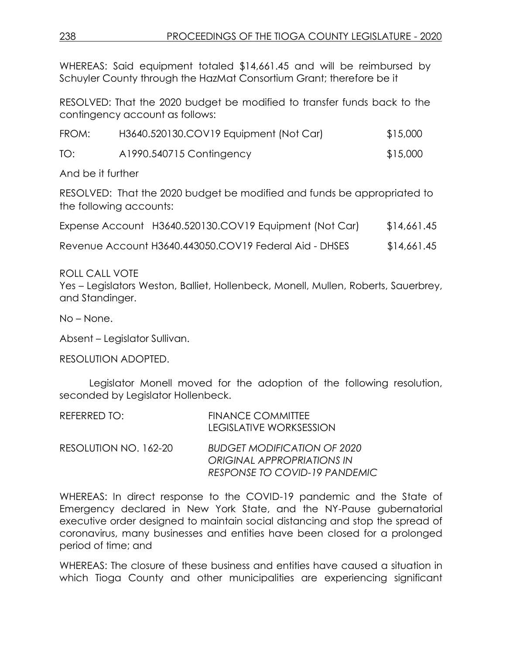WHEREAS: Said equipment totaled \$14,661.45 and will be reimbursed by Schuyler County through the HazMat Consortium Grant; therefore be it

RESOLVED: That the 2020 budget be modified to transfer funds back to the contingency account as follows:

| FROM: | H3640.520130.COV19 Equipment (Not Car) | \$15,000 |
|-------|----------------------------------------|----------|
| TO:   | A1990.540715 Contingency               | \$15,000 |

And be it further

RESOLVED: That the 2020 budget be modified and funds be appropriated to the following accounts:

| Expense Account H3640.520130.COV19 Equipment (Not Car) | \$14,661.45 |
|--------------------------------------------------------|-------------|
|                                                        |             |

Revenue Account H3640.443050.COV19 Federal Aid - DHSES \$14,661.45

ROLL CALL VOTE

Yes – Legislators Weston, Balliet, Hollenbeck, Monell, Mullen, Roberts, Sauerbrey, and Standinger.

No – None.

Absent – Legislator Sullivan.

RESOLUTION ADOPTED.

Legislator Monell moved for the adoption of the following resolution, seconded by Legislator Hollenbeck.

| REFERRED TO:          | <b>FINANCE COMMITTEE</b>  |
|-----------------------|---------------------------|
|                       | LEGISLATIVE WORKSESSION   |
| RESOLLITION NO 162-20 | RHDGET MODIFIC ATION OF 2 |

RESOLUTION NO. 162-20 *BUDGET MODIFICATION OF 2020 ORIGINAL APPROPRIATIONS IN RESPONSE TO COVID-19 PANDEMIC*

WHEREAS: In direct response to the COVID-19 pandemic and the State of Emergency declared in New York State, and the NY-Pause gubernatorial executive order designed to maintain social distancing and stop the spread of coronavirus, many businesses and entities have been closed for a prolonged period of time; and

WHEREAS: The closure of these business and entities have caused a situation in which Tioga County and other municipalities are experiencing significant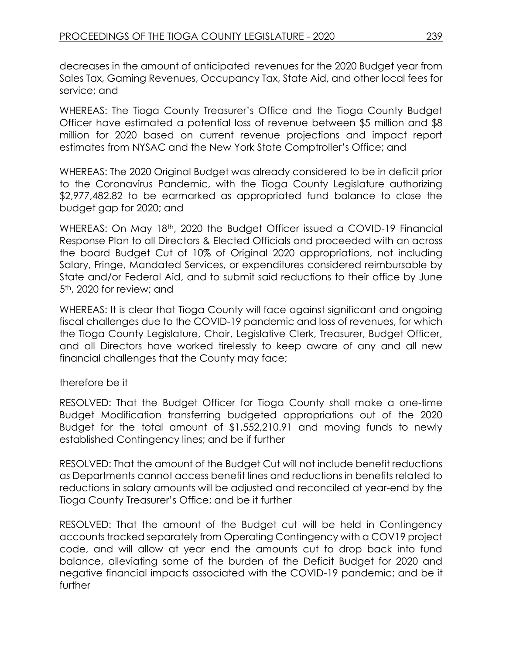decreases in the amount of anticipated revenues for the 2020 Budget year from Sales Tax, Gaming Revenues, Occupancy Tax, State Aid, and other local fees for service; and

WHEREAS: The Tioga County Treasurer's Office and the Tioga County Budget Officer have estimated a potential loss of revenue between \$5 million and \$8 million for 2020 based on current revenue projections and impact report estimates from NYSAC and the New York State Comptroller's Office; and

WHEREAS: The 2020 Original Budget was already considered to be in deficit prior to the Coronavirus Pandemic, with the Tioga County Legislature authorizing \$2,977,482.82 to be earmarked as appropriated fund balance to close the budget gap for 2020; and

WHEREAS: On May 18<sup>th</sup>, 2020 the Budget Officer issued a COVID-19 Financial Response Plan to all Directors & Elected Officials and proceeded with an across the board Budget Cut of 10% of Original 2020 appropriations, not including Salary, Fringe, Mandated Services, or expenditures considered reimbursable by State and/or Federal Aid, and to submit said reductions to their office by June 5<sup>th</sup>, 2020 for review; and

WHEREAS: It is clear that Tioga County will face against significant and ongoing fiscal challenges due to the COVID-19 pandemic and loss of revenues, for which the Tioga County Legislature, Chair, Legislative Clerk, Treasurer, Budget Officer, and all Directors have worked tirelessly to keep aware of any and all new financial challenges that the County may face;

### therefore be it

RESOLVED: That the Budget Officer for Tioga County shall make a one-time Budget Modification transferring budgeted appropriations out of the 2020 Budget for the total amount of \$1,552,210.91 and moving funds to newly established Contingency lines; and be if further

RESOLVED: That the amount of the Budget Cut will not include benefit reductions as Departments cannot access benefit lines and reductions in benefits related to reductions in salary amounts will be adjusted and reconciled at year-end by the Tioga County Treasurer's Office; and be it further

RESOLVED: That the amount of the Budget cut will be held in Contingency accounts tracked separately from Operating Contingency with a COV19 project code, and will allow at year end the amounts cut to drop back into fund balance, alleviating some of the burden of the Deficit Budget for 2020 and negative financial impacts associated with the COVID-19 pandemic; and be it further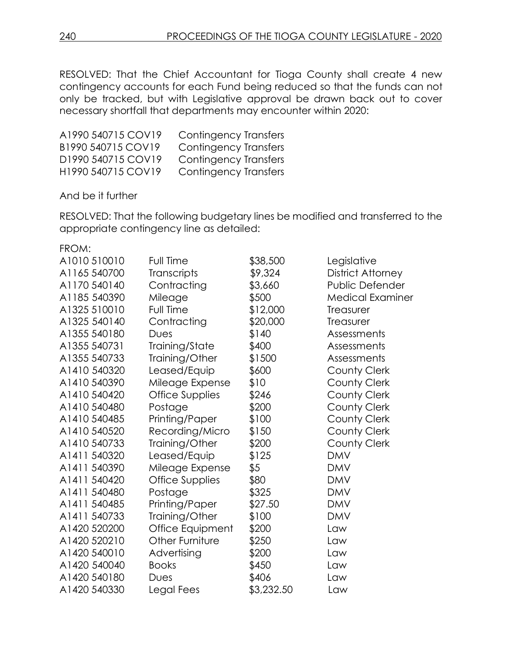RESOLVED: That the Chief Accountant for Tioga County shall create 4 new contingency accounts for each Fund being reduced so that the funds can not only be tracked, but with Legislative approval be drawn back out to cover necessary shortfall that departments may encounter within 2020:

| A1990 540715 COV19 | <b>Contingency Transfers</b> |
|--------------------|------------------------------|
| B1990 540715 COV19 | <b>Contingency Transfers</b> |
| D1990 540715 COV19 | <b>Contingency Transfers</b> |
| H1990 540715 COV19 | Contingency Transfers        |

And be it further

RESOLVED: That the following budgetary lines be modified and transferred to the appropriate contingency line as detailed:

FROM:

| A1010 510010 | Full Time        | \$38,500   | Legislative             |
|--------------|------------------|------------|-------------------------|
| A1165 540700 | Transcripts      | \$9,324    | District Attorney       |
| A1170 540140 | Contracting      | \$3,660    | Public Defender         |
| A1185 540390 | Mileage          | \$500      | <b>Medical Examiner</b> |
| A1325 510010 | Full Time        | \$12,000   | Treasurer               |
| A1325 540140 | Contracting      | \$20,000   | Treasurer               |
| A1355 540180 | Dues             | \$140      | Assessments             |
| A1355 540731 | Training/State   | \$400      | Assessments             |
| A1355 540733 | Training/Other   | \$1500     | Assessments             |
| A1410 540320 | Leased/Equip     | \$600      | County Clerk            |
| A1410 540390 | Mileage Expense  | \$10       | County Clerk            |
| A1410 540420 | Office Supplies  | \$246      | County Clerk            |
| A1410 540480 | Postage          | \$200      | <b>County Clerk</b>     |
| A1410 540485 | Printing/Paper   | \$100      | <b>County Clerk</b>     |
| A1410 540520 | Recording/Micro  | \$150      | <b>County Clerk</b>     |
| A1410 540733 | Training/Other   | \$200      | <b>County Clerk</b>     |
| A1411 540320 | Leased/Equip     | \$125      | <b>DMV</b>              |
| A1411 540390 | Mileage Expense  | \$5        | <b>DMV</b>              |
| A1411 540420 | Office Supplies  | \$80       | <b>DMV</b>              |
| A1411 540480 | Postage          | \$325      | <b>DMV</b>              |
| A1411 540485 | Printing/Paper   | \$27.50    | <b>DMV</b>              |
| A1411 540733 | Training/Other   | \$100      | <b>DMV</b>              |
| A1420 520200 | Office Equipment | \$200      | Law                     |
| A1420 520210 | Other Furniture  | \$250      | Law                     |
| A1420 540010 | Advertising      | \$200      | Law                     |
| A1420 540040 | <b>Books</b>     | \$450      | Law                     |
| A1420 540180 | Dues             | \$406      | Law                     |
| A1420 540330 | Legal Fees       | \$3,232.50 | Law                     |
|              |                  |            |                         |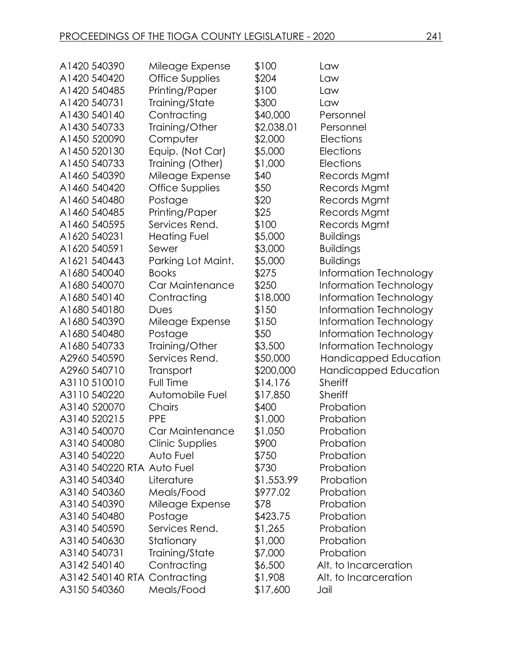| A1420 540390                 | Mileage Expense     | \$100      | Law                    |
|------------------------------|---------------------|------------|------------------------|
| A1420 540420                 | Office Supplies     | \$204      | Law                    |
| A1420 540485                 | Printing/Paper      | \$100      | Law                    |
| A1420 540731                 | Training/State      | \$300      | Law                    |
| A1430 540140                 | Contracting         | \$40,000   | Personnel              |
| A1430 540733                 | Training/Other      | \$2,038.01 | Personnel              |
| A1450 520090                 | Computer            | \$2,000    | Elections              |
| A1450 520130                 | Equip. (Not Car)    | \$5,000    | <b>Elections</b>       |
| A1450 540733                 | Training (Other)    | \$1,000    | <b>Elections</b>       |
| A1460 540390                 | Mileage Expense     | \$40       | Records Mgmt           |
| A1460 540420                 | Office Supplies     | \$50       | Records Mgmt           |
| A1460 540480                 | Postage             | \$20       | Records Mgmt           |
| A1460 540485                 | Printing/Paper      | \$25       | Records Mgmt           |
| A1460 540595                 | Services Rend.      | \$100      | Records Mgmt           |
| A1620 540231                 | <b>Heating Fuel</b> | \$5,000    | <b>Buildings</b>       |
| A1620 540591                 | Sewer               | \$3,000    | <b>Buildings</b>       |
| A1621 540443                 | Parking Lot Maint.  | \$5,000    | <b>Buildings</b>       |
| A1680 540040                 | <b>Books</b>        | \$275      | Information Technology |
| A1680 540070                 | Car Maintenance     | \$250      | Information Technology |
| A1680 540140                 | Contracting         | \$18,000   | Information Technology |
| A1680 540180                 | Dues                | \$150      | Information Technology |
| A1680 540390                 | Mileage Expense     | \$150      | Information Technology |
| A1680 540480                 | Postage             | \$50       | Information Technology |
| A1680 540733                 | Training/Other      | \$3,500    | Information Technology |
| A2960 540590                 | Services Rend.      | \$50,000   | Handicapped Education  |
| A2960 540710                 | Transport           | \$200,000  | Handicapped Education  |
| A3110510010                  | Full Time           | \$14,176   | Sheriff                |
| A3110 540220                 | Automobile Fuel     | \$17,850   | <b>Sheriff</b>         |
| A3140 520070                 | Chairs              | \$400      | Probation              |
| A3140 520215                 | <b>PPE</b>          | \$1,000    | Probation              |
| A3140 540070                 | Car Maintenance     | \$1,050    | Probation              |
| A3140 540080                 | Clinic Supplies     | \$900      | Probation              |
| A3140 540220                 | Auto Fuel           | \$750      | Probation              |
| A3140 540220 RTA Auto Fuel   |                     | \$730      | Probation              |
| A3140 540340                 | Literature          | \$1,553.99 | Probation              |
| A3140 540360                 | Meals/Food          | \$977.02   | Probation              |
| A3140 540390                 | Mileage Expense     | \$78       | Probation              |
| A3140 540480                 | Postage             | \$423.75   | Probation              |
| A3140 540590                 | Services Rend.      | \$1,265    | Probation              |
| A3140 540630                 | Stationary          | \$1,000    | Probation              |
| A3140 540731                 | Training/State      | \$7,000    | Probation              |
| A3142 540140                 | Contracting         | \$6,500    | Alt. to Incarceration  |
| A3142 540140 RTA Contracting |                     | \$1,908    | Alt. to Incarceration  |
| A3150 540360                 | Meals/Food          | \$17,600   | Jail                   |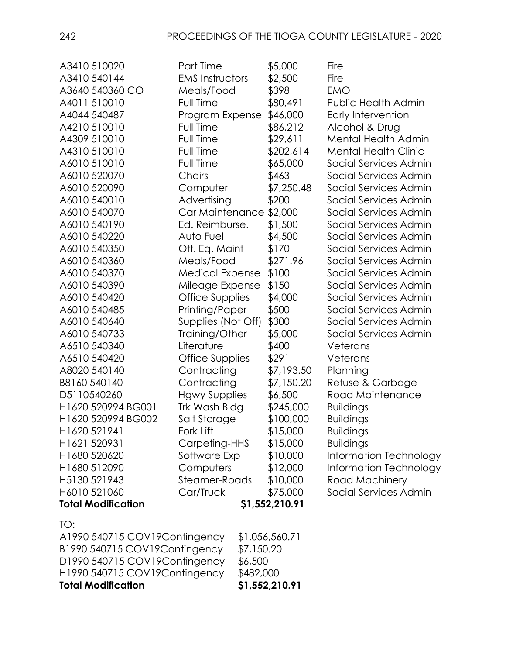| A3410 510020                   | Part Time               |            | \$5,000        | Fire                        |
|--------------------------------|-------------------------|------------|----------------|-----------------------------|
| A3410 540144                   | <b>EMS Instructors</b>  |            | \$2,500        | Fire                        |
| A3640 540360 CO                | Meals/Food              |            | \$398          | <b>EMO</b>                  |
| A4011510010                    | Full Time               |            | \$80,491       | <b>Public Health Admin</b>  |
| A4044 540487                   | Program Expense         |            | \$46,000       | Early Intervention          |
| A4210 510010                   | Full Time               |            | \$86,212       | Alcohol & Drug              |
| A4309 510010                   | Full Time               |            | \$29,611       | <b>Mental Health Admin</b>  |
| A4310 510010                   | Full Time               |            | \$202,614      | <b>Mental Health Clinic</b> |
| A6010 510010                   | Full Time               |            | \$65,000       | Social Services Admin       |
| A6010 520070                   | Chairs                  |            | \$463          | Social Services Admin       |
| A6010 520090                   | Computer                |            | \$7,250.48     | Social Services Admin       |
| A6010 540010                   | Advertising             |            | \$200          | Social Services Admin       |
| A6010 540070                   | Car Maintenance \$2,000 |            |                | Social Services Admin       |
| A6010 540190                   | Ed. Reimburse.          |            | \$1,500        | Social Services Admin       |
| A6010 540220                   | Auto Fuel               |            | \$4,500        | Social Services Admin       |
| A6010 540350                   | Off. Eq. Maint          |            | \$170          | Social Services Admin       |
| A6010 540360                   | Meals/Food              |            | \$271.96       | Social Services Admin       |
| A6010 540370                   | <b>Medical Expense</b>  |            | \$100          | Social Services Admin       |
| A6010 540390                   | Mileage Expense         |            | \$150          | Social Services Admin       |
| A6010 540420                   | Office Supplies         |            | \$4,000        | Social Services Admin       |
| A6010 540485                   | Printing/Paper          |            | \$500          | Social Services Admin       |
| A6010 540640                   | Supplies (Not Off)      |            | \$300          | Social Services Admin       |
| A6010 540733                   | Training/Other          |            | \$5,000        | Social Services Admin       |
| A6510 540340                   | Literature              |            | \$400          | Veterans                    |
| A6510 540420                   | Office Supplies         |            | \$291          | Veterans                    |
| A8020 540140                   | Contracting             |            | \$7,193.50     | Planning                    |
| B8160 540140                   | Contracting             |            | \$7,150.20     | Refuse & Garbage            |
| D5110540260                    | <b>Hgwy Supplies</b>    |            | \$6,500        | Road Maintenance            |
| H1620 520994 BG001             | Trk Wash Bldg           |            | \$245,000      | <b>Buildings</b>            |
| H1620 520994 BG002             | Salt Storage            |            | \$100,000      | <b>Buildings</b>            |
| H1620 521941                   | Fork Lift               |            | \$15,000       | <b>Buildings</b>            |
| H1621 520931                   | Carpeting-HHS           |            | \$15,000       | <b>Buildings</b>            |
| H1680 520620                   | Software Exp            |            | \$10,000       | Information Technology      |
| H1680 512090                   | Computers               |            | \$12,000       | Information Technology      |
| H5130 521943                   | Steamer-Roads           |            | \$10,000       | Road Machinery              |
| H6010 521060                   | Car/Truck               |            | \$75,000       | Social Services Admin       |
| <b>Total Modification</b>      |                         |            | \$1,552,210.91 |                             |
| TO:                            |                         |            |                |                             |
| A1990 540715 COV19 Contingency |                         |            | \$1,056,560.71 |                             |
| B1990 540715 COV19Contingency  |                         | \$7,150.20 |                |                             |
| D1990 540715 COV19Contingency  |                         | \$6,500    |                |                             |
| H1990 540715 COV19Contingency  |                         | \$482,000  |                |                             |
| <b>Total Modification</b>      |                         |            | \$1,552,210.91 |                             |
|                                |                         |            |                |                             |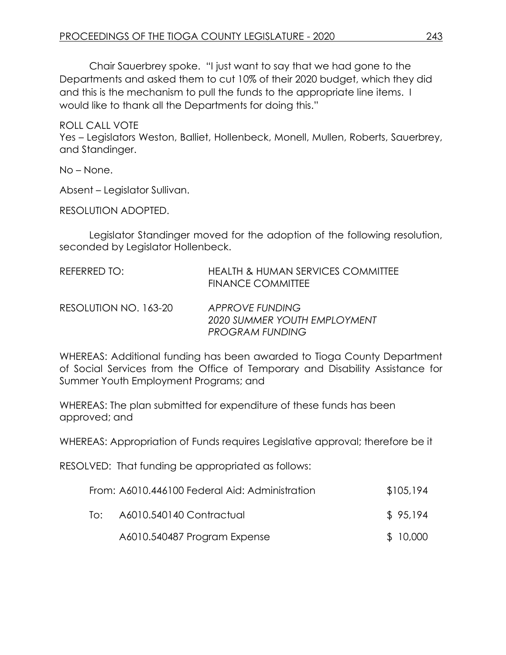Chair Sauerbrey spoke. "I just want to say that we had gone to the Departments and asked them to cut 10% of their 2020 budget, which they did and this is the mechanism to pull the funds to the appropriate line items. I would like to thank all the Departments for doing this."

ROLL CALL VOTE Yes – Legislators Weston, Balliet, Hollenbeck, Monell, Mullen, Roberts, Sauerbrey, and Standinger.

No – None.

Absent – Legislator Sullivan.

RESOLUTION ADOPTED.

Legislator Standinger moved for the adoption of the following resolution, seconded by Legislator Hollenbeck.

| REFERRED TO:          | <b>HEALTH &amp; HUMAN SERVICES COMMITTEE</b><br>FINANCE COMMITTEE         |
|-----------------------|---------------------------------------------------------------------------|
| RESOLUTION NO. 163-20 | APPROVE FUNDING<br>2020 SUMMER YOUTH EMPLOYMENT<br><b>PROGRAM FUNDING</b> |

WHEREAS: Additional funding has been awarded to Tioga County Department of Social Services from the Office of Temporary and Disability Assistance for Summer Youth Employment Programs; and

WHEREAS: The plan submitted for expenditure of these funds has been approved; and

WHEREAS: Appropriation of Funds requires Legislative approval; therefore be it

RESOLVED: That funding be appropriated as follows:

|     | From: A6010.446100 Federal Aid: Administration | \$105,194 |
|-----|------------------------------------------------|-----------|
| To: | A6010.540140 Contractual                       | \$95,194  |

A6010.540487 Program Expense  $$10,000$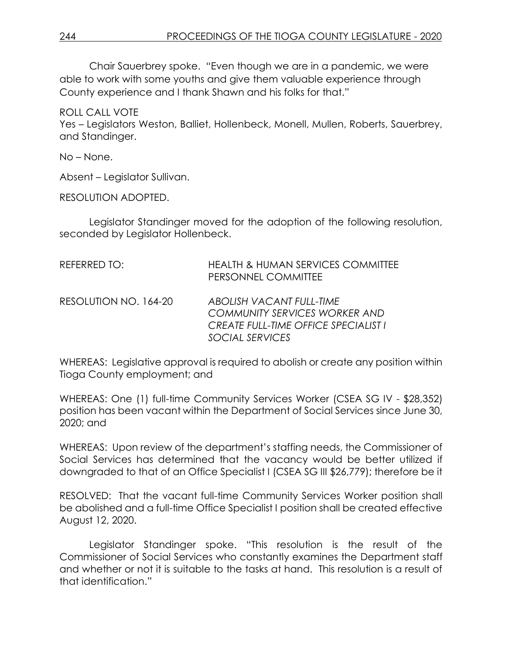Chair Sauerbrey spoke. "Even though we are in a pandemic, we were able to work with some youths and give them valuable experience through County experience and I thank Shawn and his folks for that."

ROLL CALL VOTE

Yes – Legislators Weston, Balliet, Hollenbeck, Monell, Mullen, Roberts, Sauerbrey, and Standinger.

No – None.

Absent – Legislator Sullivan.

RESOLUTION ADOPTED.

Legislator Standinger moved for the adoption of the following resolution, seconded by Legislator Hollenbeck.

| REFERRED TO:          | <b>HEALTH &amp; HUMAN SERVICES COMMITTEE</b><br>PERSONNEL COMMITTEE                                                                |
|-----------------------|------------------------------------------------------------------------------------------------------------------------------------|
| RESOLUTION NO. 164-20 | ABOLISH VACANT FULL-TIME<br><b>COMMUNITY SERVICES WORKER AND</b><br><b>CREATE FULL-TIME OFFICE SPECIALIST I</b><br>SOCIAL SERVICES |

WHEREAS: Legislative approval is required to abolish or create any position within Tioga County employment; and

WHEREAS: One (1) full-time Community Services Worker (CSEA SG IV - \$28,352) position has been vacant within the Department of Social Services since June 30, 2020; and

WHEREAS: Upon review of the department's staffing needs, the Commissioner of Social Services has determined that the vacancy would be better utilized if downgraded to that of an Office Specialist I (CSEA SG III \$26,779); therefore be it

RESOLVED: That the vacant full-time Community Services Worker position shall be abolished and a full-time Office Specialist I position shall be created effective August 12, 2020.

Legislator Standinger spoke. "This resolution is the result of the Commissioner of Social Services who constantly examines the Department staff and whether or not it is suitable to the tasks at hand. This resolution is a result of that identification."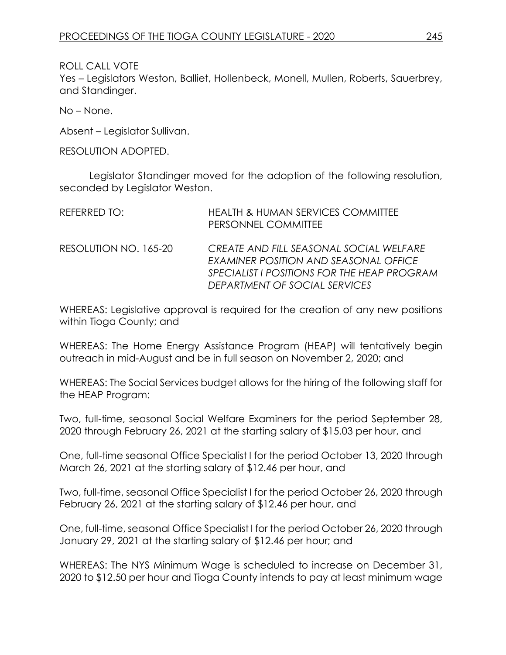ROLL CALL VOTE Yes – Legislators Weston, Balliet, Hollenbeck, Monell, Mullen, Roberts, Sauerbrey, and Standinger.

No – None.

Absent – Legislator Sullivan.

RESOLUTION ADOPTED.

Legislator Standinger moved for the adoption of the following resolution, seconded by Legislator Weston.

| REFERRED TO:          | <b>HEALTH &amp; HUMAN SERVICES COMMITTEE</b><br>PERSONNEL COMMITTEE                                                                                              |
|-----------------------|------------------------------------------------------------------------------------------------------------------------------------------------------------------|
| RESOLUTION NO. 165-20 | CREATE AND FILL SEASONAL SOCIAL WELFARE<br>EXAMINER POSITION AND SEASONAL OFFICE<br>SPECIALIST I POSITIONS FOR THE HEAP PROGRAM<br>DEPARTMENT OF SOCIAL SERVICES |

WHEREAS: Legislative approval is required for the creation of any new positions within Tioga County; and

WHEREAS: The Home Energy Assistance Program (HEAP) will tentatively begin outreach in mid-August and be in full season on November 2, 2020; and

WHEREAS: The Social Services budget allows for the hiring of the following staff for the HEAP Program:

Two, full-time, seasonal Social Welfare Examiners for the period September 28, 2020 through February 26, 2021 at the starting salary of \$15.03 per hour, and

One, full-time seasonal Office Specialist I for the period October 13, 2020 through March 26, 2021 at the starting salary of \$12.46 per hour, and

Two, full-time, seasonal Office Specialist I for the period October 26, 2020 through February 26, 2021 at the starting salary of \$12.46 per hour, and

One, full-time, seasonal Office Specialist I for the period October 26, 2020 through January 29, 2021 at the starting salary of \$12.46 per hour; and

WHEREAS: The NYS Minimum Wage is scheduled to increase on December 31, 2020 to \$12.50 per hour and Tioga County intends to pay at least minimum wage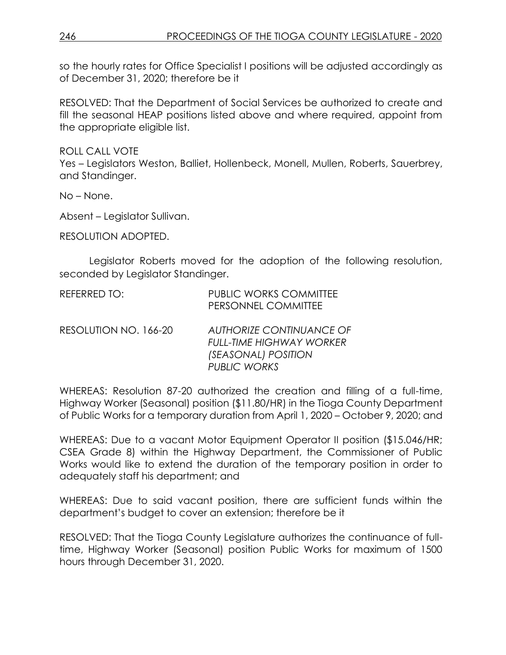so the hourly rates for Office Specialist I positions will be adjusted accordingly as of December 31, 2020; therefore be it

RESOLVED: That the Department of Social Services be authorized to create and fill the seasonal HEAP positions listed above and where required, appoint from the appropriate eligible list.

ROLL CALL VOTE

Yes – Legislators Weston, Balliet, Hollenbeck, Monell, Mullen, Roberts, Sauerbrey, and Standinger.

No – None.

Absent – Legislator Sullivan.

RESOLUTION ADOPTED.

Legislator Roberts moved for the adoption of the following resolution, seconded by Legislator Standinger.

| REFERRED TO:          | <b>PUBLIC WORKS COMMITTEE</b><br>PERSONNEL COMMITTEE                                      |
|-----------------------|-------------------------------------------------------------------------------------------|
| RESOLUTION NO. 166-20 | <b>AUTHORIZE CONTINUANCE OF</b><br><b>FULL-TIME HIGHWAY WORKER</b><br>(SEASONAL) POSITION |

WHEREAS: Resolution 87-20 authorized the creation and filling of a full-time, Highway Worker (Seasonal) position (\$11.80/HR) in the Tioga County Department of Public Works for a temporary duration from April 1, 2020 – October 9, 2020; and

*PUBLIC WORKS*

WHEREAS: Due to a vacant Motor Equipment Operator II position (\$15.046/HR; CSEA Grade 8) within the Highway Department, the Commissioner of Public Works would like to extend the duration of the temporary position in order to adequately staff his department; and

WHEREAS: Due to said vacant position, there are sufficient funds within the department's budget to cover an extension; therefore be it

RESOLVED: That the Tioga County Legislature authorizes the continuance of fulltime, Highway Worker (Seasonal) position Public Works for maximum of 1500 hours through December 31, 2020.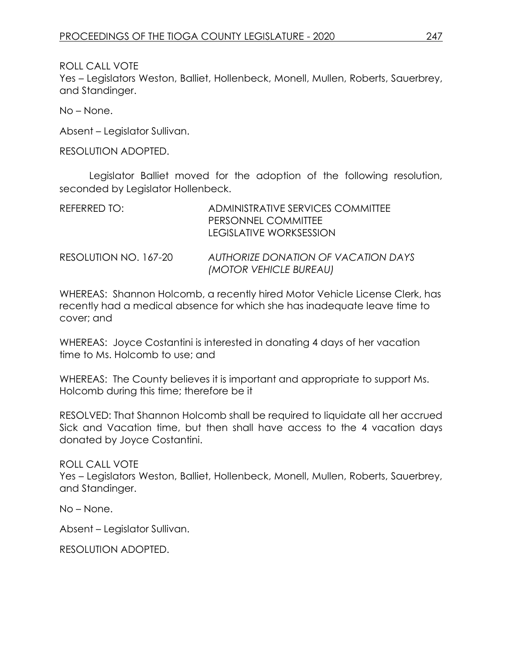ROLL CALL VOTE Yes – Legislators Weston, Balliet, Hollenbeck, Monell, Mullen, Roberts, Sauerbrey, and Standinger.

No – None.

Absent – Legislator Sullivan.

RESOLUTION ADOPTED.

Legislator Balliet moved for the adoption of the following resolution, seconded by Legislator Hollenbeck.

| REFERRED TO:          | ADMINISTRATIVE SERVICES COMMITTEE<br>PERSONNEL COMMITTEE<br>LEGISLATIVE WORKSESSION |
|-----------------------|-------------------------------------------------------------------------------------|
| RESOLUTION NO. 167-20 | AUTHORIZE DONATION OF VACATION DAYS<br>(MOTOR VEHICLE BUREAU)                       |

WHEREAS: Shannon Holcomb, a recently hired Motor Vehicle License Clerk, has recently had a medical absence for which she has inadequate leave time to cover; and

WHEREAS: Joyce Costantini is interested in donating 4 days of her vacation time to Ms. Holcomb to use; and

WHEREAS: The County believes it is important and appropriate to support Ms. Holcomb during this time; therefore be it

RESOLVED: That Shannon Holcomb shall be required to liquidate all her accrued Sick and Vacation time, but then shall have access to the 4 vacation days donated by Joyce Costantini.

ROLL CALL VOTE Yes – Legislators Weston, Balliet, Hollenbeck, Monell, Mullen, Roberts, Sauerbrey, and Standinger.

No – None.

Absent – Legislator Sullivan.

RESOLUTION ADOPTED.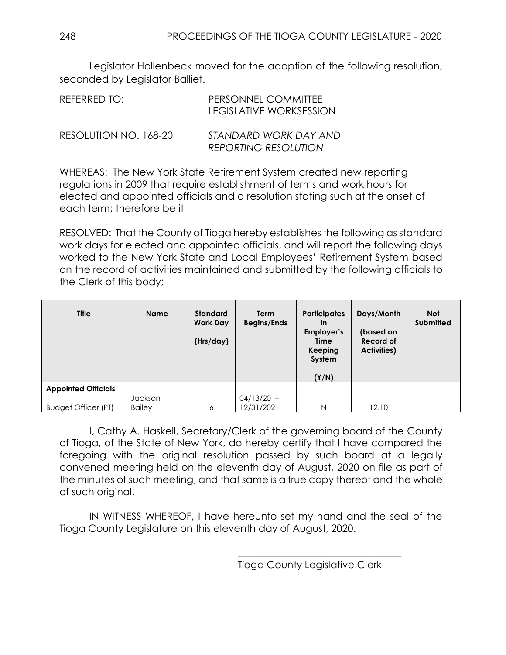Legislator Hollenbeck moved for the adoption of the following resolution, seconded by Legislator Balliet.

| REFERRED TO:          | PERSONNEL COMMITTEE<br><b>LEGISLATIVE WORKSESSION</b> |
|-----------------------|-------------------------------------------------------|
| RESOLUTION NO. 168-20 | STANDARD WORK DAY AND<br><b>REPORTING RESOLUTION</b>  |

WHEREAS: The New York State Retirement System created new reporting regulations in 2009 that require establishment of terms and work hours for elected and appointed officials and a resolution stating such at the onset of each term; therefore be it

RESOLVED: That the County of Tioga hereby establishes the following as standard work days for elected and appointed officials, and will report the following days worked to the New York State and Local Employees' Retirement System based on the record of activities maintained and submitted by the following officials to the Clerk of this body;

| <b>Title</b>               | <b>Name</b>   | <b>Standard</b><br><b>Work Day</b><br>(Hrs/day) | Term<br><b>Begins/Ends</b> | <b>Participates</b><br>in<br>Employer's<br>Time<br>Keeping<br>System<br>(Y/N) | Days/Month<br>(based on<br>Record of<br>Activities) | <b>Not</b><br><b>Submitted</b> |
|----------------------------|---------------|-------------------------------------------------|----------------------------|-------------------------------------------------------------------------------|-----------------------------------------------------|--------------------------------|
| <b>Appointed Officials</b> |               |                                                 |                            |                                                                               |                                                     |                                |
|                            | Jackson       |                                                 | $04/13/20 -$               |                                                                               |                                                     |                                |
| <b>Budget Officer (PT)</b> | <b>Bailey</b> | 6                                               | 12/31/2021                 | N                                                                             | 12.10                                               |                                |

I, Cathy A. Haskell, Secretary/Clerk of the governing board of the County of Tioga, of the State of New York, do hereby certify that I have compared the foregoing with the original resolution passed by such board at a legally convened meeting held on the eleventh day of August, 2020 on file as part of the minutes of such meeting, and that same is a true copy thereof and the whole of such original.

IN WITNESS WHEREOF, I have hereunto set my hand and the seal of the Tioga County Legislature on this eleventh day of August, 2020.

\_\_\_\_\_\_\_\_\_\_\_\_\_\_\_\_\_\_\_\_\_\_\_\_\_\_\_\_\_\_\_\_\_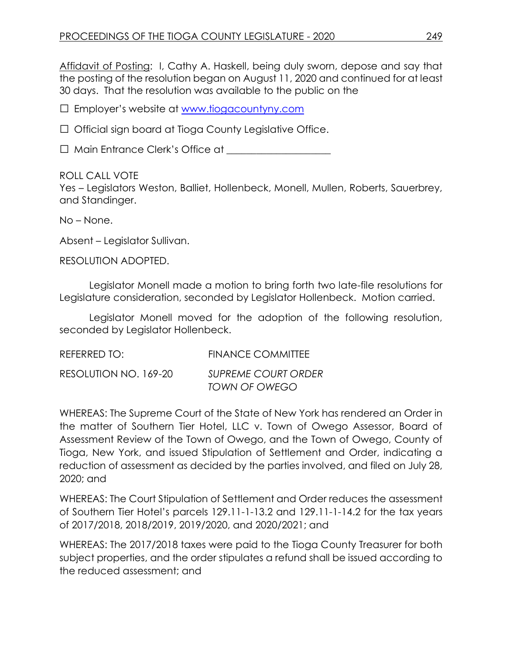Affidavit of Posting: I, Cathy A. Haskell, being duly sworn, depose and say that the posting of the resolution began on August 11, 2020 and continued for at least 30 days. That the resolution was available to the public on the

□ Employer's website at [www.tiogacountyny.com](http://www.tiogacountyny.com/)

□ Official sign board at Tioga County Legislative Office.

□ Main Entrance Clerk's Office at <u>\_\_\_\_\_\_\_\_\_\_\_\_\_\_</u>

#### ROLL CALL VOTE

Yes – Legislators Weston, Balliet, Hollenbeck, Monell, Mullen, Roberts, Sauerbrey, and Standinger.

No – None.

Absent – Legislator Sullivan.

RESOLUTION ADOPTED.

Legislator Monell made a motion to bring forth two late-file resolutions for Legislature consideration, seconded by Legislator Hollenbeck. Motion carried.

Legislator Monell moved for the adoption of the following resolution, seconded by Legislator Hollenbeck.

| REFERRED TO:          | <b>FINANCE COMMITTEE</b>                    |
|-----------------------|---------------------------------------------|
| RESOLUTION NO. 169-20 | <b>SUPREME COURT ORDER</b><br>TOWN OF OWEGO |

WHEREAS: The Supreme Court of the State of New York has rendered an Order in the matter of Southern Tier Hotel, LLC v. Town of Owego Assessor, Board of Assessment Review of the Town of Owego, and the Town of Owego, County of Tioga, New York, and issued Stipulation of Settlement and Order, indicating a reduction of assessment as decided by the parties involved, and filed on July 28, 2020; and

WHEREAS: The Court Stipulation of Settlement and Order reduces the assessment of Southern Tier Hotel's parcels 129.11-1-13.2 and 129.11-1-14.2 for the tax years of 2017/2018, 2018/2019, 2019/2020, and 2020/2021; and

WHEREAS: The 2017/2018 taxes were paid to the Tioga County Treasurer for both subject properties, and the order stipulates a refund shall be issued according to the reduced assessment; and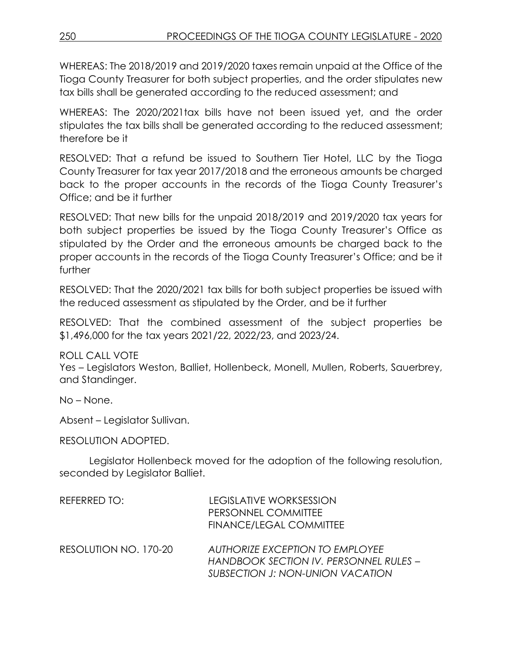WHEREAS: The 2018/2019 and 2019/2020 taxes remain unpaid at the Office of the Tioga County Treasurer for both subject properties, and the order stipulates new tax bills shall be generated according to the reduced assessment; and

WHEREAS: The 2020/2021tax bills have not been issued yet, and the order stipulates the tax bills shall be generated according to the reduced assessment; therefore be it

RESOLVED: That a refund be issued to Southern Tier Hotel, LLC by the Tioga County Treasurer for tax year 2017/2018 and the erroneous amounts be charged back to the proper accounts in the records of the Tioga County Treasurer's Office; and be it further

RESOLVED: That new bills for the unpaid 2018/2019 and 2019/2020 tax years for both subject properties be issued by the Tioga County Treasurer's Office as stipulated by the Order and the erroneous amounts be charged back to the proper accounts in the records of the Tioga County Treasurer's Office; and be it further

RESOLVED: That the 2020/2021 tax bills for both subject properties be issued with the reduced assessment as stipulated by the Order, and be it further

RESOLVED: That the combined assessment of the subject properties be \$1,496,000 for the tax years 2021/22, 2022/23, and 2023/24.

ROLL CALL VOTE Yes – Legislators Weston, Balliet, Hollenbeck, Monell, Mullen, Roberts, Sauerbrey, and Standinger.

No – None.

Absent – Legislator Sullivan.

RESOLUTION ADOPTED.

Legislator Hollenbeck moved for the adoption of the following resolution, seconded by Legislator Balliet.

| REFERRED TO:          | LEGISLATIVE WORKSESSION<br>PERSONNEL COMMITTEE<br>FINANCE/LEGAL COMMITTEE                                     |
|-----------------------|---------------------------------------------------------------------------------------------------------------|
| RESOLUTION NO. 170-20 | AUTHORIZE EXCEPTION TO EMPLOYEE<br>HANDBOOK SECTION IV. PERSONNEL RULES –<br>SUBSECTION J: NON-UNION VACATION |